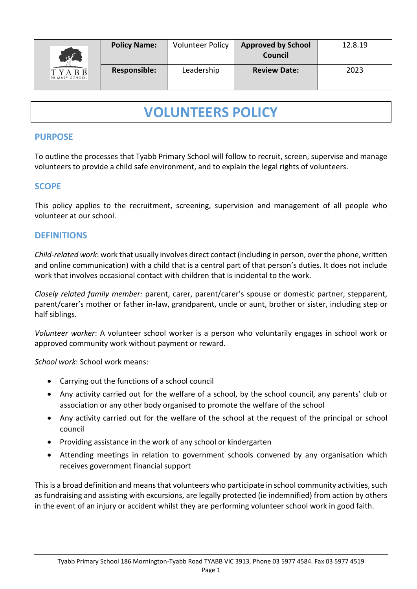| xF                             | <b>Policy Name:</b> | <b>Volunteer Policy</b> | <b>Approved by School</b><br>Council | 12.8.19 |
|--------------------------------|---------------------|-------------------------|--------------------------------------|---------|
| <b>TYABB</b><br>PRIMARY SCHOOL | <b>Responsible:</b> | Leadership              | <b>Review Date:</b>                  | 2023    |

# **VOLUNTEERS POLICY**

# **PURPOSE**

To outline the processes that Tyabb Primary School will follow to recruit, screen, supervise and manage volunteers to provide a child safe environment, and to explain the legal rights of volunteers.

# **SCOPE**

This policy applies to the recruitment, screening, supervision and management of all people who volunteer at our school.

## **DEFINITIONS**

*Child-related work*: work that usually involves direct contact (including in person, over the phone, written and online communication) with a child that is a central part of that person's duties. It does not include work that involves occasional contact with children that is incidental to the work.

*Closely related family member:* parent, carer, parent/carer's spouse or domestic partner, stepparent, parent/carer's mother or father in-law, grandparent, uncle or aunt, brother or sister, including step or half siblings.

*Volunteer worker*: A volunteer school worker is a person who voluntarily engages in school work or approved community work without payment or reward.

*School work*: School work means:

- Carrying out the functions of a school council
- Any activity carried out for the welfare of a school, by the school council, any parents' club or association or any other body organised to promote the welfare of the school
- Any activity carried out for the welfare of the school at the request of the principal or school council
- Providing assistance in the work of any school or kindergarten
- Attending meetings in relation to government schools convened by any organisation which receives government financial support

This is a broad definition and means that volunteers who participate in school community activities, such as fundraising and assisting with excursions, are legally protected (ie indemnified) from action by others in the event of an injury or accident whilst they are performing volunteer school work in good faith.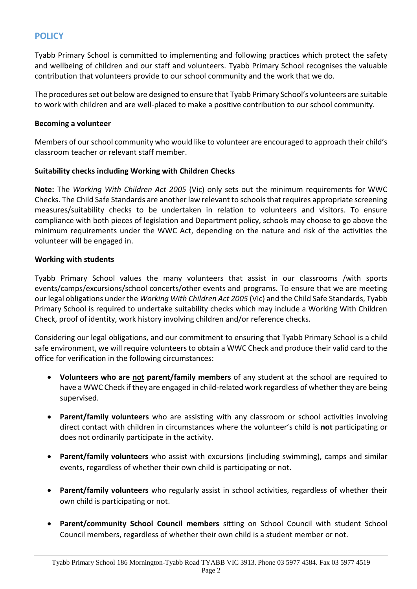# **POLICY**

Tyabb Primary School is committed to implementing and following practices which protect the safety and wellbeing of children and our staff and volunteers. Tyabb Primary School recognises the valuable contribution that volunteers provide to our school community and the work that we do.

The procedures set out below are designed to ensure that Tyabb Primary School's volunteers are suitable to work with children and are well-placed to make a positive contribution to our school community.

#### **Becoming a volunteer**

Members of our school community who would like to volunteer are encouraged to approach their child's classroom teacher or relevant staff member.

#### **Suitability checks including Working with Children Checks**

**Note:** The *Working With Children Act 2005* (Vic) only sets out the minimum requirements for WWC Checks. The Child Safe Standards are another law relevant to schools that requires appropriate screening measures/suitability checks to be undertaken in relation to volunteers and visitors. To ensure compliance with both pieces of legislation and Department policy, schools may choose to go above the minimum requirements under the WWC Act, depending on the nature and risk of the activities the volunteer will be engaged in.

#### **Working with students**

Tyabb Primary School values the many volunteers that assist in our classrooms /with sports events/camps/excursions/school concerts/other events and programs. To ensure that we are meeting our legal obligations under the *Working With Children Act 2005* (Vic) and the Child Safe Standards, Tyabb Primary School is required to undertake suitability checks which may include a Working With Children Check, proof of identity, work history involving children and/or reference checks.

Considering our legal obligations, and our commitment to ensuring that Tyabb Primary School is a child safe environment, we will require volunteers to obtain a WWC Check and produce their valid card to the office for verification in the following circumstances:

- **Volunteers who are not parent/family members** of any student at the school are required to have a WWC Check if they are engaged in child-related work regardless of whether they are being supervised.
- **Parent/family volunteers** who are assisting with any classroom or school activities involving direct contact with children in circumstances where the volunteer's child is **not** participating or does not ordinarily participate in the activity.
- **Parent/family volunteers** who assist with excursions (including swimming), camps and similar events, regardless of whether their own child is participating or not.
- **Parent/family volunteers** who regularly assist in school activities, regardless of whether their own child is participating or not.
- **Parent/community School Council members** sitting on School Council with student School Council members, regardless of whether their own child is a student member or not.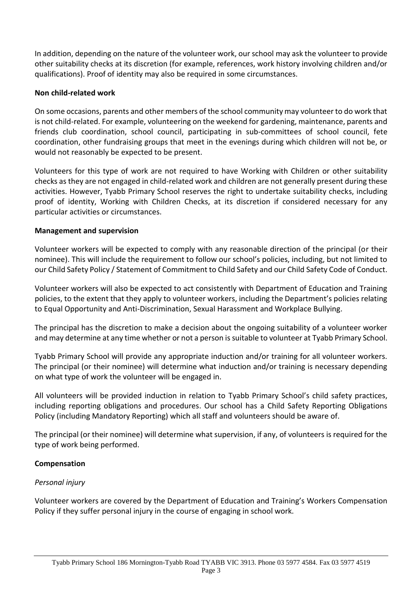In addition, depending on the nature of the volunteer work, our school may ask the volunteer to provide other suitability checks at its discretion (for example, references, work history involving children and/or qualifications). Proof of identity may also be required in some circumstances.

#### **Non child-related work**

On some occasions, parents and other members of the school community may volunteer to do work that is not child-related. For example, volunteering on the weekend for gardening, maintenance, parents and friends club coordination, school council, participating in sub-committees of school council, fete coordination, other fundraising groups that meet in the evenings during which children will not be, or would not reasonably be expected to be present.

Volunteers for this type of work are not required to have Working with Children or other suitability checks as they are not engaged in child-related work and children are not generally present during these activities. However, Tyabb Primary School reserves the right to undertake suitability checks, including proof of identity, Working with Children Checks, at its discretion if considered necessary for any particular activities or circumstances.

## **Management and supervision**

Volunteer workers will be expected to comply with any reasonable direction of the principal (or their nominee). This will include the requirement to follow our school's policies, including, but not limited to our Child Safety Policy / Statement of Commitment to Child Safety and our Child Safety Code of Conduct.

Volunteer workers will also be expected to act consistently with Department of Education and Training policies, to the extent that they apply to volunteer workers, including the Department's policies relating to Equal Opportunity and Anti-Discrimination, Sexual Harassment and Workplace Bullying.

The principal has the discretion to make a decision about the ongoing suitability of a volunteer worker and may determine at any time whether or not a person is suitable to volunteer at Tyabb Primary School.

Tyabb Primary School will provide any appropriate induction and/or training for all volunteer workers. The principal (or their nominee) will determine what induction and/or training is necessary depending on what type of work the volunteer will be engaged in.

All volunteers will be provided induction in relation to Tyabb Primary School's child safety practices, including reporting obligations and procedures. Our school has a Child Safety Reporting Obligations Policy (including Mandatory Reporting) which all staff and volunteers should be aware of.

The principal (or their nominee) will determine what supervision, if any, of volunteers is required for the type of work being performed.

## **Compensation**

## *Personal injury*

Volunteer workers are covered by the Department of Education and Training's Workers Compensation Policy if they suffer personal injury in the course of engaging in school work.